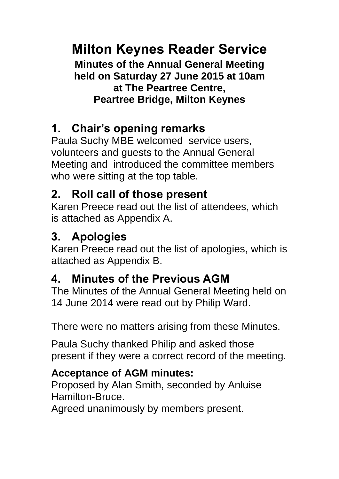# **Milton Keynes Reader Service**

**Minutes of the Annual General Meeting held on Saturday 27 June 2015 at 10am at The Peartree Centre, Peartree Bridge, Milton Keynes**

## **1. Chair's opening remarks**

Paula Suchy MBE welcomed service users, volunteers and guests to the Annual General Meeting and introduced the committee members who were sitting at the top table.

## **2. Roll call of those present**

Karen Preece read out the list of attendees, which is attached as Appendix A.

## **3. Apologies**

Karen Preece read out the list of apologies, which is attached as Appendix B.

## **4. Minutes of the Previous AGM**

The Minutes of the Annual General Meeting held on 14 June 2014 were read out by Philip Ward.

There were no matters arising from these Minutes.

Paula Suchy thanked Philip and asked those present if they were a correct record of the meeting.

### **Acceptance of AGM minutes:**

Proposed by Alan Smith, seconded by Anluise Hamilton-Bruce.

Agreed unanimously by members present.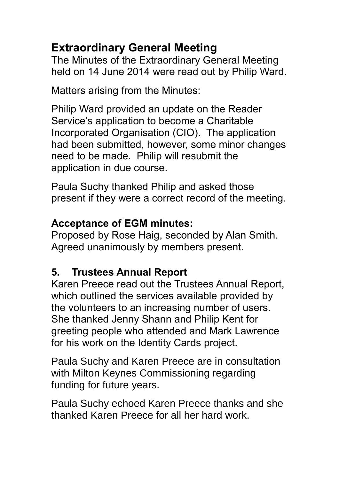## **Extraordinary General Meeting**

The Minutes of the Extraordinary General Meeting held on 14 June 2014 were read out by Philip Ward.

Matters arising from the Minutes:

Philip Ward provided an update on the Reader Service's application to become a Charitable Incorporated Organisation (CIO). The application had been submitted, however, some minor changes need to be made. Philip will resubmit the application in due course.

Paula Suchy thanked Philip and asked those present if they were a correct record of the meeting.

#### **Acceptance of EGM minutes:**

Proposed by Rose Haig, seconded by Alan Smith. Agreed unanimously by members present.

### **5. Trustees Annual Report**

Karen Preece read out the Trustees Annual Report, which outlined the services available provided by the volunteers to an increasing number of users. She thanked Jenny Shann and Philip Kent for greeting people who attended and Mark Lawrence for his work on the Identity Cards project.

Paula Suchy and Karen Preece are in consultation with Milton Keynes Commissioning regarding funding for future years.

Paula Suchy echoed Karen Preece thanks and she thanked Karen Preece for all her hard work.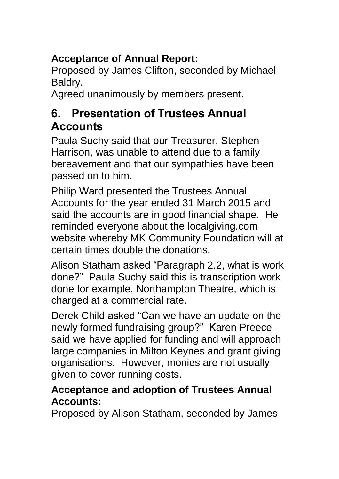### **Acceptance of Annual Report:**

Proposed by James Clifton, seconded by Michael Baldry.

Agreed unanimously by members present.

### **6. Presentation of Trustees Annual Accounts**

Paula Suchy said that our Treasurer, Stephen Harrison, was unable to attend due to a family bereavement and that our sympathies have been passed on to him.

Philip Ward presented the Trustees Annual Accounts for the year ended 31 March 2015 and said the accounts are in good financial shape. He reminded everyone about the localgiving.com website whereby MK Community Foundation will at certain times double the donations.

Alison Statham asked "Paragraph 2.2, what is work done?" Paula Suchy said this is transcription work done for example, Northampton Theatre, which is charged at a commercial rate.

Derek Child asked "Can we have an update on the newly formed fundraising group?" Karen Preece said we have applied for funding and will approach large companies in Milton Keynes and grant giving organisations. However, monies are not usually given to cover running costs.

#### **Acceptance and adoption of Trustees Annual Accounts:**

Proposed by Alison Statham, seconded by James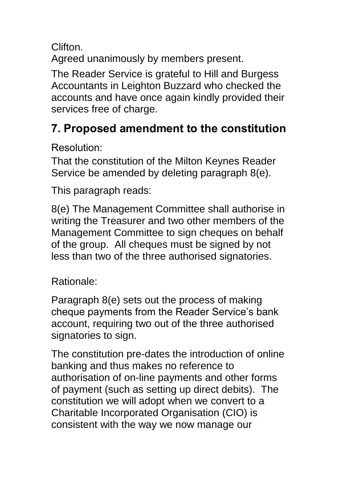Clifton.

Agreed unanimously by members present.

The Reader Service is grateful to Hill and Burgess Accountants in Leighton Buzzard who checked the accounts and have once again kindly provided their services free of charge.

## **7. Proposed amendment to the constitution**

Resolution:

That the constitution of the Milton Keynes Reader Service be amended by deleting paragraph 8(e).

This paragraph reads:

8(e) The Management Committee shall authorise in writing the Treasurer and two other members of the Management Committee to sign cheques on behalf of the group. All cheques must be signed by not less than two of the three authorised signatories.

Rationale:

Paragraph 8(e) sets out the process of making cheque payments from the Reader Service's bank account, requiring two out of the three authorised signatories to sign.

The constitution pre-dates the introduction of online banking and thus makes no reference to authorisation of on-line payments and other forms of payment (such as setting up direct debits). The constitution we will adopt when we convert to a Charitable Incorporated Organisation (CIO) is consistent with the way we now manage our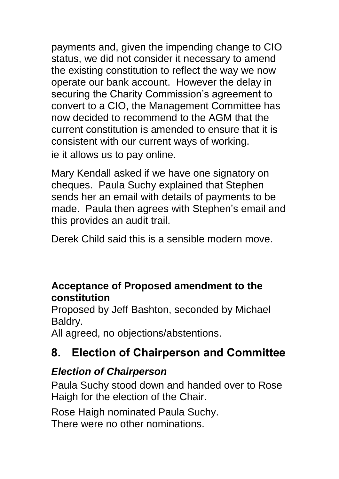payments and, given the impending change to CIO status, we did not consider it necessary to amend the existing constitution to reflect the way we now operate our bank account. However the delay in securing the Charity Commission's agreement to convert to a CIO, the Management Committee has now decided to recommend to the AGM that the current constitution is amended to ensure that it is consistent with our current ways of working. ie it allows us to pay online.

Mary Kendall asked if we have one signatory on cheques. Paula Suchy explained that Stephen sends her an email with details of payments to be made. Paula then agrees with Stephen's email and this provides an audit trail.

Derek Child said this is a sensible modern move.

#### **Acceptance of Proposed amendment to the constitution**

Proposed by Jeff Bashton, seconded by Michael Baldry.

All agreed, no objections/abstentions.

### **8. Election of Chairperson and Committee**

#### *Election of Chairperson*

Paula Suchy stood down and handed over to Rose Haigh for the election of the Chair.

Rose Haigh nominated Paula Suchy. There were no other nominations.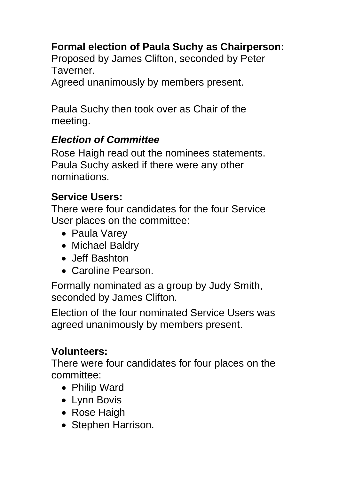### **Formal election of Paula Suchy as Chairperson:**

Proposed by James Clifton, seconded by Peter Taverner.

Agreed unanimously by members present.

Paula Suchy then took over as Chair of the meeting.

#### *Election of Committee*

Rose Haigh read out the nominees statements. Paula Suchy asked if there were any other nominations.

#### **Service Users:**

There were four candidates for the four Service User places on the committee:

- Paula Varey
- Michael Baldry
- Jeff Bashton
- Caroline Pearson.

Formally nominated as a group by Judy Smith, seconded by James Clifton.

Election of the four nominated Service Users was agreed unanimously by members present.

#### **Volunteers:**

There were four candidates for four places on the committee:

- Philip Ward
- Lynn Bovis
- Rose Haigh
- Stephen Harrison.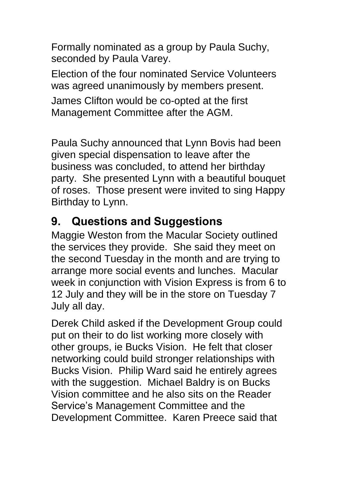Formally nominated as a group by Paula Suchy, seconded by Paula Varey.

Election of the four nominated Service Volunteers was agreed unanimously by members present.

James Clifton would be co-opted at the first Management Committee after the AGM.

Paula Suchy announced that Lynn Bovis had been given special dispensation to leave after the business was concluded, to attend her birthday party. She presented Lynn with a beautiful bouquet of roses. Those present were invited to sing Happy Birthday to Lynn.

### **9. Questions and Suggestions**

Maggie Weston from the Macular Society outlined the services they provide. She said they meet on the second Tuesday in the month and are trying to arrange more social events and lunches. Macular week in conjunction with Vision Express is from 6 to 12 July and they will be in the store on Tuesday 7 July all day.

Derek Child asked if the Development Group could put on their to do list working more closely with other groups, ie Bucks Vision. He felt that closer networking could build stronger relationships with Bucks Vision. Philip Ward said he entirely agrees with the suggestion. Michael Baldry is on Bucks Vision committee and he also sits on the Reader Service's Management Committee and the Development Committee. Karen Preece said that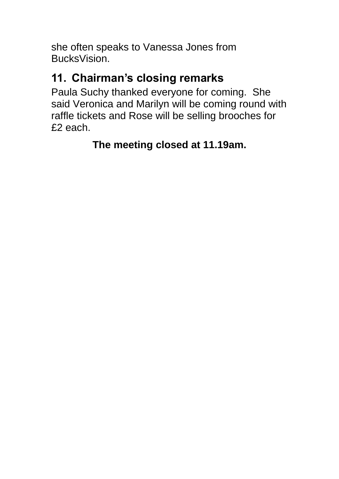she often speaks to Vanessa Jones from BucksVision.

## **11. Chairman's closing remarks**

Paula Suchy thanked everyone for coming. She said Veronica and Marilyn will be coming round with raffle tickets and Rose will be selling brooches for £2 each.

**The meeting closed at 11.19am.**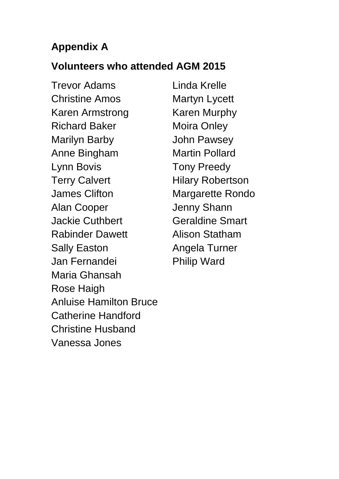### **Appendix A**

#### **Volunteers who attended AGM 2015**

Trevor Adams Linda Krelle Christine Amos Martyn Lycett Karen Armstrong Karen Murphy Richard Baker Moira Onley Marilyn Barby John Pawsey Anne Bingham Martin Pollard Lynn Bovis Tony Preedy Terry Calvert **Hilary Robertson** James Clifton Margarette Rondo Alan Cooper Jenny Shann Jackie Cuthbert Geraldine Smart Rabinder Dawett **Alison Statham** Sally Easton **Angela Turner** Jan Fernandei Philip Ward Maria Ghansah Rose Haigh Anluise Hamilton Bruce Catherine Handford Christine Husband Vanessa Jones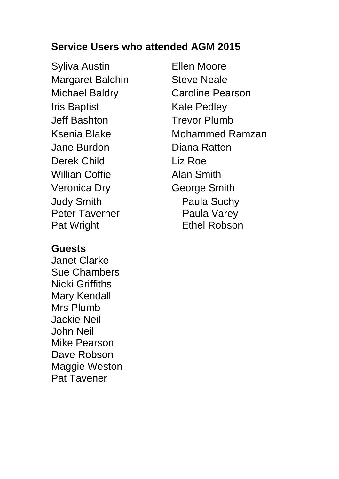#### **Service Users who attended AGM 2015**

Syliva Austin **Ellen Moore** Margaret Balchin Steve Neale Iris Baptist **Kate Pedley** Jeff Bashton Trevor Plumb Jane Burdon Diana Ratten Derek Child Liz Roe Willian Coffie **Alan Smith** Veronica Dry **George Smith** Judy Smith Paula Suchy Peter Taverner Paula Varey Pat Wright **Ethel Robson** 

#### **Guests**

Janet Clarke Sue Chambers Nicki Griffiths Mary Kendall Mrs Plumb Jackie Neil John Neil Mike Pearson Dave Robson Maggie Weston Pat Tavener

Michael Baldry **Caroline Pearson** Ksenia Blake Mohammed Ramzan